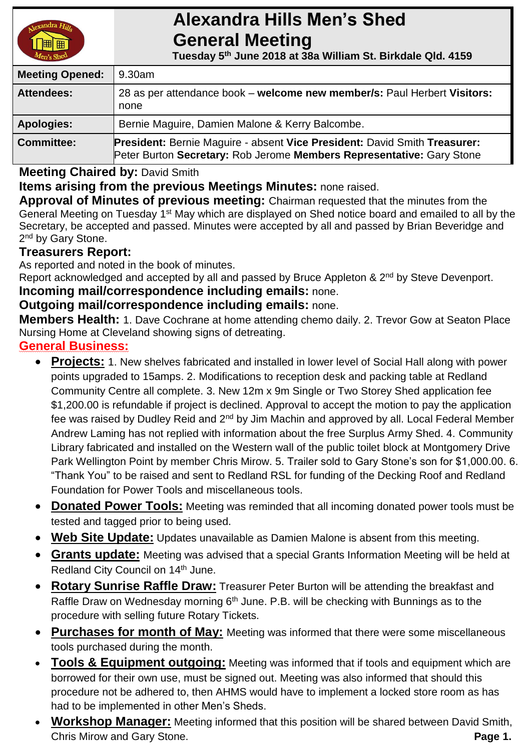# **Alexandra Hills Men's Shed General Meeting**

 **Tuesday 5 th June 2018 at 38a William St. Birkdale Qld. 4159** 

| <b>Meeting Opened:</b> | 9.30am                                                                                                                                             |  |
|------------------------|----------------------------------------------------------------------------------------------------------------------------------------------------|--|
| <b>Attendees:</b>      | 28 as per attendance book – welcome new member/s: Paul Herbert Visitors:<br>none                                                                   |  |
| <b>Apologies:</b>      | Bernie Maguire, Damien Malone & Kerry Balcombe.                                                                                                    |  |
| <b>Committee:</b>      | President: Bernie Maguire - absent Vice President: David Smith Treasurer:<br>Peter Burton Secretary: Rob Jerome Members Representative: Gary Stone |  |

**Meeting Chaired by:** David Smith

**Items arising from the previous Meetings Minutes:** none raised.

**Approval of Minutes of previous meeting:** Chairman requested that the minutes from the General Meeting on Tuesday 1<sup>st</sup> May which are displayed on Shed notice board and emailed to all by the Secretary, be accepted and passed. Minutes were accepted by all and passed by Brian Beveridge and 2<sup>nd</sup> by Gary Stone.

# **Treasurers Report:**

As reported and noted in the book of minutes.

Report acknowledged and accepted by all and passed by Bruce Appleton & 2<sup>nd</sup> by Steve Devenport. **Incoming mail/correspondence including emails:** none.

### **Outgoing mail/correspondence including emails:** none.

**Members Health:** 1. Dave Cochrane at home attending chemo daily. 2. Trevor Gow at Seaton Place Nursing Home at Cleveland showing signs of detreating.

# **General Business:**

- **Projects:** 1. New shelves fabricated and installed in lower level of Social Hall along with power points upgraded to 15amps. 2. Modifications to reception desk and packing table at Redland Community Centre all complete. 3. New 12m x 9m Single or Two Storey Shed application fee \$1,200.00 is refundable if project is declined. Approval to accept the motion to pay the application fee was raised by Dudley Reid and 2<sup>nd</sup> by Jim Machin and approved by all. Local Federal Member Andrew Laming has not replied with information about the free Surplus Army Shed. 4. Community Library fabricated and installed on the Western wall of the public toilet block at Montgomery Drive Park Wellington Point by member Chris Mirow. 5. Trailer sold to Gary Stone's son for \$1,000.00. 6. "Thank You" to be raised and sent to Redland RSL for funding of the Decking Roof and Redland Foundation for Power Tools and miscellaneous tools.
- **Donated Power Tools:** Meeting was reminded that all incoming donated power tools must be tested and tagged prior to being used.
- **Web Site Update:** Updates unavailable as Damien Malone is absent from this meeting.
- **Grants update:** Meeting was advised that a special Grants Information Meeting will be held at Redland City Council on 14<sup>th</sup> June.
- **Rotary Sunrise Raffle Draw:** Treasurer Peter Burton will be attending the breakfast and Raffle Draw on Wednesday morning  $6<sup>th</sup>$  June. P.B. will be checking with Bunnings as to the procedure with selling future Rotary Tickets.
- **Purchases for month of May:** Meeting was informed that there were some miscellaneous tools purchased during the month.
- **Tools & Equipment outgoing:** Meeting was informed that if tools and equipment which are borrowed for their own use, must be signed out. Meeting was also informed that should this procedure not be adhered to, then AHMS would have to implement a locked store room as has had to be implemented in other Men's Sheds.
- **Workshop Manager:** Meeting informed that this position will be shared between David Smith, **Chris Mirow and Gary Stone. Page 1. Page 1. Page 1.**